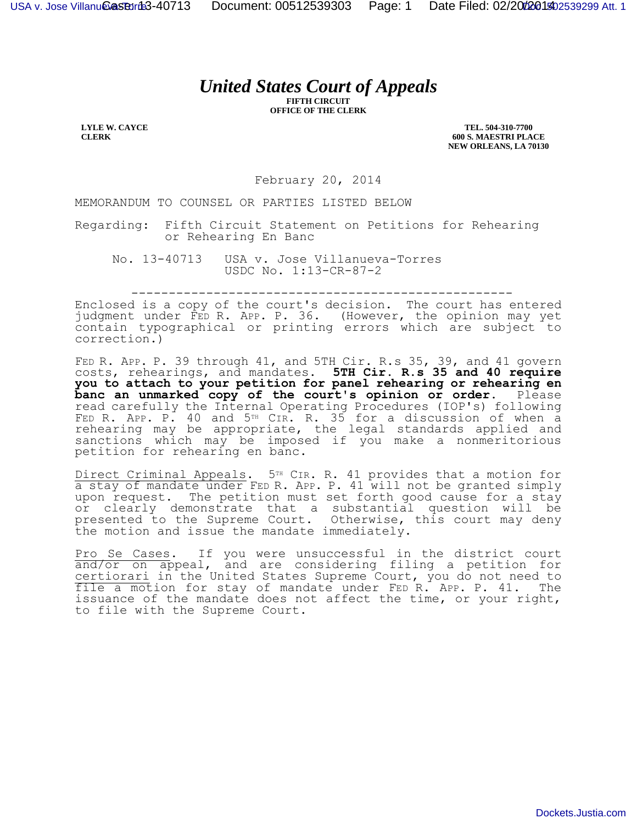## *United States Court of Appeals*

**FIFTH CIRCUIT OFFICE OF THE CLERK**

**LYLE W. CAYCE CLERK**

**TEL. 504-310-7700 600 S. MAESTRI PLACE NEW ORLEANS, LA 70130**

February 20, 2014

MEMORANDUM TO COUNSEL OR PARTIES LISTED BELOW

Regarding: Fifth Circuit Statement on Petitions for Rehearing or Rehearing En Banc

No. 13-40713 USA v. Jose Villanueva-Torres USDC No. 1:13-CR-87-2

---------------------------------------------------

Enclosed is a copy of the court's decision. The court has entered judgment under FED R. APP. P. 36. (However, the opinion may yet contain typographical or printing errors which are subject to correction.)

FED R. APP. P. 39 through 41, and 5TH Cir. R.s 35, 39, and 41 govern costs, rehearings, and mandates. **5TH Cir. R.s 35 and 40 require you to attach to your petition for panel rehearing or rehearing en banc an unmarked copy of the court's opinion or order.** Please read carefully the Internal Operating Procedures (IOP's) following FED R. APP. P. 40 and 5<sup>TH</sup> CIR. R. 35 for a discussion of when a rehearing may be appropriate, the legal standards applied and sanctions which may be imposed if you make a nonmeritorious petition for rehearing en banc.

Direct Criminal Appeals. 5<sup>TH</sup> CIR. R. 41 provides that a motion for a stay of mandate under FED R. APP. P. 41 will not be granted simply upon request. The petition must set forth good cause for a stay or clearly demonstrate that a substantial question will be presented to the Supreme Court. Otherwise, this court may deny the motion and issue the mandate immediately.

Pro Se Cases. If you were unsuccessful in the district court and/or on appeal, and are considering filing a petition for certiorari in the United States Supreme Court, you do not need to file a motion for stay of mandate under FED R. APP. P. 41. The issuance of the mandate does not affect the time, or your right, to file with the Supreme Court.